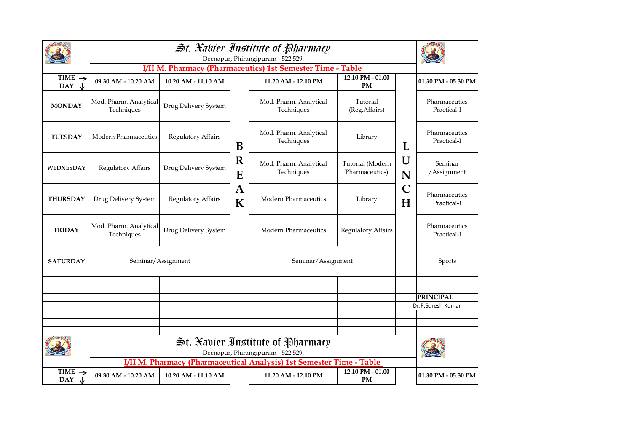|                                  | Deenapur, Phirangipuram - 522 529.                                     |                      |                  |                                      |                                    |        |                              |  |  |  |
|----------------------------------|------------------------------------------------------------------------|----------------------|------------------|--------------------------------------|------------------------------------|--------|------------------------------|--|--|--|
|                                  | <b>I/II M. Pharmacy (Pharmaceutics) 1st Semester Time - Table</b>      |                      |                  |                                      |                                    |        |                              |  |  |  |
| TIME $\rightarrow$<br><b>DAY</b> | 09.30 AM - 10.20 AM                                                    | 10.20 AM - 11.10 AM  | B                | 11.20 AM - 12.10 PM                  | 12.10 PM - 01.00<br><b>PM</b>      | L      | 01.30 PM - 05.30 PM          |  |  |  |
| <b>MONDAY</b>                    | Mod. Pharm. Analytical<br>Techniques                                   | Drug Delivery System |                  | Mod. Pharm. Analytical<br>Techniques | Tutorial<br>(Reg.Affairs)          |        | Pharmaceutics<br>Practical-I |  |  |  |
| <b>TUESDAY</b>                   | <b>Modern Pharmaceutics</b>                                            | Regulatory Affairs   |                  | Mod. Pharm. Analytical<br>Techniques | Library                            |        | Pharmaceutics<br>Practical-I |  |  |  |
| <b>WEDNESDAY</b>                 | Regulatory Affairs                                                     | Drug Delivery System | $\mathbf R$<br>E | Mod. Pharm. Analytical<br>Techniques | Tutorial (Modern<br>Pharmaceutics) | U<br>N | Seminar<br>/Assignment       |  |  |  |
| <b>THURSDAY</b>                  | Drug Delivery System                                                   | Regulatory Affairs   | A<br>K           | Modern Pharmaceutics                 | Library                            | C<br>H | Pharmaceutics<br>Practical-I |  |  |  |
| <b>FRIDAY</b>                    | Mod. Pharm. Analytical<br>Techniques                                   | Drug Delivery System |                  | Modern Pharmaceutics                 | <b>Regulatory Affairs</b>          |        | Pharmaceutics<br>Practical-I |  |  |  |
| <b>SATURDAY</b>                  |                                                                        | Seminar/Assignment   |                  | Seminar/Assignment                   |                                    |        | Sports                       |  |  |  |
|                                  |                                                                        |                      |                  |                                      |                                    |        |                              |  |  |  |
|                                  |                                                                        |                      |                  |                                      |                                    |        |                              |  |  |  |
|                                  |                                                                        |                      |                  |                                      |                                    |        | <b>PRINCIPAL</b>             |  |  |  |
|                                  |                                                                        |                      |                  |                                      |                                    |        | Dr.P.Suresh Kumar            |  |  |  |
|                                  |                                                                        |                      |                  |                                      |                                    |        |                              |  |  |  |
|                                  |                                                                        |                      |                  |                                      |                                    |        |                              |  |  |  |
|                                  | St. Xabier Institute of Pharmacy<br>Deenapur, Phirangipuram - 522 529. |                      |                  |                                      |                                    |        |                              |  |  |  |
|                                  | I/II M. Pharmacy (Pharmaceutical Analysis) 1st Semester Time - Table   |                      |                  |                                      |                                    |        |                              |  |  |  |
| <b>TIME</b><br><b>DAY</b>        | 09.30 AM - 10.20 AM                                                    | 10.20 AM - 11.10 AM  |                  | 11.20 AM - 12.10 PM                  | 12.10 PM - 01.00<br><b>PM</b>      |        | 01.30 PM - 05.30 PM          |  |  |  |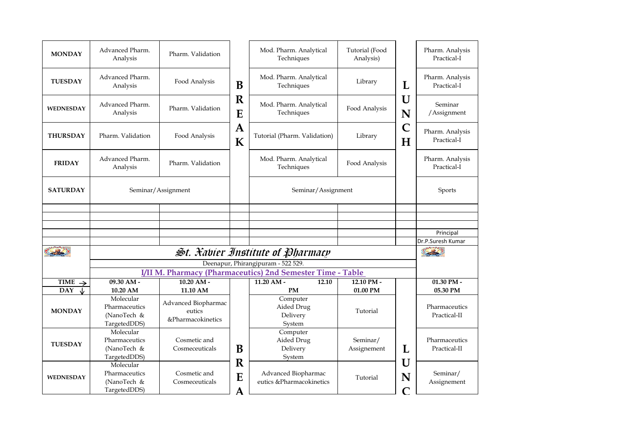| <b>MONDAY</b>                                   | Advanced Pharm.<br>Analysis                                | Pharm. Validation                                  |                            | Mod. Pharm. Analytical<br>Techniques             | Tutorial (Food<br>Analysis) |                        | Pharm. Analysis<br>Practical-I |
|-------------------------------------------------|------------------------------------------------------------|----------------------------------------------------|----------------------------|--------------------------------------------------|-----------------------------|------------------------|--------------------------------|
| <b>TUESDAY</b>                                  | Advanced Pharm.<br>Analysis                                | Food Analysis                                      | B                          | Mod. Pharm. Analytical<br>Techniques             | Library                     | L                      | Pharm. Analysis<br>Practical-I |
| <b>WEDNESDAY</b>                                | Advanced Pharm.<br>Analysis                                | Pharm, Validation                                  | $\mathbf R$<br>E           | Mod. Pharm. Analytical<br>Techniques             | Food Analysis               | U<br>N                 | Seminar<br>/Assignment         |
| <b>THURSDAY</b>                                 | Pharm. Validation                                          | Food Analysis                                      | $\mathbf A$<br>$\mathbf K$ | Tutorial (Pharm. Validation)                     | Library                     | $\mathsf{C}$<br>H      | Pharm. Analysis<br>Practical-I |
| <b>FRIDAY</b>                                   | Advanced Pharm.<br>Analysis                                | Pharm. Validation                                  |                            | Mod. Pharm. Analytical<br>Techniques             | Food Analysis               |                        | Pharm. Analysis<br>Practical-I |
| <b>SATURDAY</b>                                 |                                                            | Seminar/Assignment                                 |                            | Seminar/Assignment                               |                             |                        | Sports                         |
|                                                 |                                                            |                                                    |                            |                                                  |                             |                        |                                |
|                                                 |                                                            |                                                    |                            |                                                  |                             |                        |                                |
|                                                 |                                                            |                                                    |                            |                                                  |                             |                        | Principal                      |
|                                                 |                                                            |                                                    |                            |                                                  |                             |                        | Dr.P.Suresh Kumar              |
|                                                 | St. Xabier Institute of Pharmacy                           |                                                    |                            |                                                  |                             |                        |                                |
|                                                 |                                                            |                                                    |                            | Deenapur, Phirangipuram - 522 529.               |                             |                        |                                |
|                                                 |                                                            |                                                    |                            |                                                  |                             |                        |                                |
|                                                 | I/II M. Pharmacy (Pharmaceutics) 2nd Semester Time - Table |                                                    |                            |                                                  |                             |                        |                                |
| <b>TIME</b><br>$\rightarrow$<br><b>DAY</b><br>↓ | 09.30 AM -<br>10.20 AM                                     | 10.20 AM -<br>11.10 AM                             |                            | 11.20 AM -<br>12.10<br><b>PM</b>                 | 12.10 PM -<br>01.00 PM      |                        | 01.30 PM -<br>05.30 PM         |
| <b>MONDAY</b>                                   | Molecular<br>Pharmaceutics<br>(NanoTech &<br>TargetedDDS)  | Advanced Biopharmac<br>eutics<br>&Pharmacokinetics |                            | Computer<br>Aided Drug<br>Delivery<br>System     | Tutorial                    |                        | Pharmaceutics<br>Practical-II  |
| <b>TUESDAY</b>                                  | Molecular<br>Pharmaceutics<br>(NanoTech &<br>TargetedDDS)  | Cosmetic and<br>Cosmeceuticals                     | B                          | Computer<br>Aided Drug<br>Delivery<br>System     | Seminar/<br>Assignement     | L                      | Pharmaceutics<br>Practical-II  |
| <b>WEDNESDAY</b>                                | Molecular<br>Pharmaceutics<br>(NanoTech &<br>TargetedDDS)  | Cosmetic and<br>Cosmeceuticals                     | $\mathbf R$<br>E<br>A      | Advanced Biopharmac<br>eutics & Pharmacokinetics | Tutorial                    | U<br>N<br>$\mathcal C$ | Seminar/<br>Assignement        |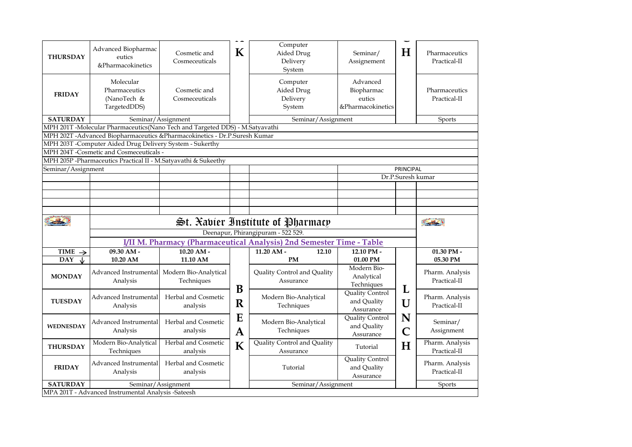| <b>THURSDAY</b>    | Advanced Biopharmac<br>eutics<br>&Pharmacokinetics                           | Cosmetic and<br>Cosmeceuticals      | K                 | Computer<br>Aided Drug<br>Delivery<br>System                         | Seminar/<br>Assignement                               | $\bf H$                      | Pharmaceutics<br>Practical-II   |  |  |  |
|--------------------|------------------------------------------------------------------------------|-------------------------------------|-------------------|----------------------------------------------------------------------|-------------------------------------------------------|------------------------------|---------------------------------|--|--|--|
| <b>FRIDAY</b>      | Molecular<br>Pharmaceutics<br>(NanoTech &<br>TargetedDDS)                    | Cosmetic and<br>Cosmeceuticals      |                   | Computer<br>Aided Drug<br>Delivery<br>System                         | Advanced<br>Biopharmac<br>eutics<br>&Pharmacokinetics |                              | Pharmaceutics<br>Practical-II   |  |  |  |
| <b>SATURDAY</b>    | Seminar/Assignment<br>Seminar/Assignment                                     |                                     |                   |                                                                      |                                                       |                              | <b>Sports</b>                   |  |  |  |
|                    | MPH 201T -Molecular Pharmaceutics(Nano Tech and Targeted DDS) - M.Satyavathi |                                     |                   |                                                                      |                                                       |                              |                                 |  |  |  |
|                    | MPH 202T -Advanced Biopharmaceutics & Pharmacokinetics - Dr.P.Suresh Kumar   |                                     |                   |                                                                      |                                                       |                              |                                 |  |  |  |
|                    | MPH 203T -Computer Aided Drug Delivery System - Sukerthy                     |                                     |                   |                                                                      |                                                       |                              |                                 |  |  |  |
|                    | MPH 204T -Cosmetic and Cosmeceuticals -                                      |                                     |                   |                                                                      |                                                       |                              |                                 |  |  |  |
|                    | MPH 205P -Pharmaceutics Practical II - M.Satyavathi & Sukeethy               |                                     |                   |                                                                      |                                                       |                              |                                 |  |  |  |
|                    | Seminar/Assignment<br>PRINCIPAL<br>Dr.P.Suresh kumar                         |                                     |                   |                                                                      |                                                       |                              |                                 |  |  |  |
|                    |                                                                              |                                     |                   |                                                                      |                                                       |                              |                                 |  |  |  |
|                    |                                                                              |                                     |                   |                                                                      |                                                       |                              |                                 |  |  |  |
|                    |                                                                              |                                     |                   |                                                                      |                                                       |                              |                                 |  |  |  |
|                    |                                                                              |                                     |                   |                                                                      |                                                       |                              |                                 |  |  |  |
|                    |                                                                              |                                     |                   |                                                                      |                                                       |                              |                                 |  |  |  |
|                    |                                                                              |                                     |                   | $\mathfrak{S}$ t. Xabier Institute of Pharmacy                       |                                                       |                              | $\sim$ 30                       |  |  |  |
|                    |                                                                              |                                     |                   | Deenapur, Phirangipuram - 522 529.                                   |                                                       |                              |                                 |  |  |  |
|                    |                                                                              |                                     |                   | I/II M. Pharmacy (Pharmaceutical Analysis) 2nd Semester Time - Table |                                                       |                              |                                 |  |  |  |
| TIME $\rightarrow$ | $09.30$ AM -                                                                 | $10.20$ AM -                        |                   | $11.20$ AM -<br>12.10                                                | 12.10 PM -                                            |                              | 01.30 PM -                      |  |  |  |
| Jz<br><b>DAY</b>   | 10.20 AM                                                                     | 11.10 AM                            |                   | <b>PM</b>                                                            | 01.00 PM                                              |                              | 05.30 PM                        |  |  |  |
| <b>MONDAY</b>      | Advanced Instrumental<br>Analysis                                            | Modern Bio-Analytical<br>Techniques |                   | Quality Control and Quality<br>Assurance                             | Modern Bio-<br>Analytical<br>Techniques               |                              | Pharm. Analysis<br>Practical-II |  |  |  |
| <b>TUESDAY</b>     | Advanced Instrumental<br>Analysis                                            | Herbal and Cosmetic<br>analysis     | B<br>$\mathbf R$  | Modern Bio-Analytical<br>Techniques                                  | <b>Quality Control</b><br>and Quality<br>Assurance    | L<br>U                       | Pharm. Analysis<br>Practical-II |  |  |  |
| <b>WEDNESDAY</b>   | Advanced Instrumental<br>Analysis                                            | Herbal and Cosmetic<br>analysis     | E<br>$\mathbf{A}$ | Modern Bio-Analytical<br>Techniques                                  | Quality Control<br>and Quality<br>Assurance           | N<br>$\overline{\mathsf{C}}$ | Seminar/<br>Assignment          |  |  |  |
| <b>THURSDAY</b>    | Modern Bio-Analytical<br>Techniques                                          | Herbal and Cosmetic<br>analysis     | K                 | Quality Control and Quality<br>Assurance                             | Tutorial                                              | H                            | Pharm. Analysis<br>Practical-II |  |  |  |
| <b>FRIDAY</b>      | Advanced Instrumental<br>Analysis                                            | Herbal and Cosmetic<br>analysis     |                   | Tutorial                                                             | <b>Quality Control</b><br>and Quality<br>Assurance    |                              | Pharm. Analysis<br>Practical-II |  |  |  |
| <b>SATURDAY</b>    | MPA 201T - Advanced Instrumental Analysis -Sateesh                           | Seminar/Assignment                  |                   | Seminar/Assignment                                                   |                                                       |                              | Sports                          |  |  |  |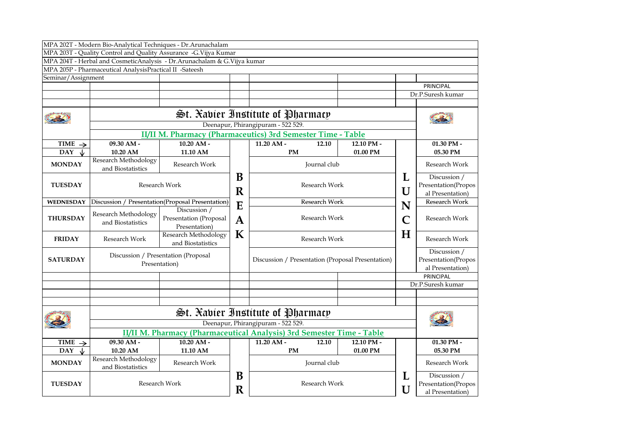|                              | MPA 202T - Modern Bio-Analytical Techniques - Dr.Arunachalam            |                                                             |                  |                                                                                                                                                                                                                                                                                                                            |               |               |                     |                     |  |
|------------------------------|-------------------------------------------------------------------------|-------------------------------------------------------------|------------------|----------------------------------------------------------------------------------------------------------------------------------------------------------------------------------------------------------------------------------------------------------------------------------------------------------------------------|---------------|---------------|---------------------|---------------------|--|
|                              | MPA 203T - Quality Control and Quality Assurance -G.Vijya Kumar         |                                                             |                  |                                                                                                                                                                                                                                                                                                                            |               |               |                     |                     |  |
|                              | MPA 204T - Herbal and CosmeticAnalysis - Dr.Arunachalam & G.Vijya kumar |                                                             |                  |                                                                                                                                                                                                                                                                                                                            |               |               |                     |                     |  |
|                              | MPA 205P - Pharmaceutical AnalysisPractical II -Sateesh                 |                                                             |                  |                                                                                                                                                                                                                                                                                                                            |               |               |                     |                     |  |
| Seminar/Assignment           |                                                                         |                                                             |                  |                                                                                                                                                                                                                                                                                                                            |               |               |                     |                     |  |
|                              |                                                                         |                                                             |                  |                                                                                                                                                                                                                                                                                                                            |               |               |                     | PRINCIPAL           |  |
|                              |                                                                         |                                                             |                  |                                                                                                                                                                                                                                                                                                                            |               |               |                     | Dr.P.Suresh kumar   |  |
|                              |                                                                         |                                                             |                  |                                                                                                                                                                                                                                                                                                                            |               |               |                     |                     |  |
|                              |                                                                         |                                                             |                  | $f$ $\lesssim$ $\lesssim$ $\frac{1}{2}$ $\lesssim$ $\frac{1}{2}$ $\frac{1}{2}$ $\frac{1}{2}$ $\frac{1}{2}$ $\frac{1}{2}$ $\frac{1}{2}$ $\frac{1}{2}$ $\frac{1}{2}$ $\frac{1}{2}$ $\frac{1}{2}$ $\frac{1}{2}$ $\frac{1}{2}$ $\frac{1}{2}$ $\frac{1}{2}$ $\frac{1}{2}$ $\frac{1}{2}$ $\frac{1}{2}$ $\frac{1}{2}$ $\frac{1}{$ |               |               |                     |                     |  |
|                              |                                                                         |                                                             |                  | Deenapur, Phirangipuram - 522 529.                                                                                                                                                                                                                                                                                         |               |               |                     |                     |  |
|                              |                                                                         | II/II M. Pharmacy (Pharmaceutics) 3rd Semester Time - Table |                  |                                                                                                                                                                                                                                                                                                                            |               |               |                     |                     |  |
| TIME $\rightarrow$           | 09.30 AM -                                                              | $10.20$ AM -                                                |                  | $11.20$ AM -                                                                                                                                                                                                                                                                                                               | 12.10         | 12.10 PM -    |                     | 01.30 PM -          |  |
| <b>DAY</b><br>J              | 10.20 AM                                                                | 11.10 AM                                                    |                  | <b>PM</b>                                                                                                                                                                                                                                                                                                                  |               | 01.00 PM      |                     | 05.30 PM            |  |
|                              | Research Methodology                                                    |                                                             |                  |                                                                                                                                                                                                                                                                                                                            |               |               |                     |                     |  |
| <b>MONDAY</b>                | and Biostatistics                                                       | Research Work                                               |                  | Journal club                                                                                                                                                                                                                                                                                                               |               | Research Work |                     |                     |  |
|                              |                                                                         |                                                             | B                |                                                                                                                                                                                                                                                                                                                            |               |               | L                   | Discussion /        |  |
| <b>TUESDAY</b>               | Research Work                                                           |                                                             |                  | Research Work                                                                                                                                                                                                                                                                                                              |               | U             | Presentation(Propos |                     |  |
|                              |                                                                         |                                                             | R                |                                                                                                                                                                                                                                                                                                                            |               |               | al Presentation)    |                     |  |
| <b>WEDNESDAY</b>             |                                                                         | Discussion / Presentation(Proposal Presentation)            |                  | Research Work                                                                                                                                                                                                                                                                                                              |               |               |                     | Research Work       |  |
|                              |                                                                         | Discussion /                                                | E<br>$\mathbf A$ |                                                                                                                                                                                                                                                                                                                            |               | N             |                     |                     |  |
| <b>THURSDAY</b>              | Research Methodology<br>and Biostatistics                               | Presentation (Proposal<br>Presentation)                     |                  |                                                                                                                                                                                                                                                                                                                            | Research Work |               | C                   | Research Work       |  |
|                              |                                                                         |                                                             |                  |                                                                                                                                                                                                                                                                                                                            |               |               |                     |                     |  |
| <b>FRIDAY</b>                | Research Work                                                           | K<br>Research Methodology                                   | Research Work    |                                                                                                                                                                                                                                                                                                                            |               | $\bf H$       | Research Work       |                     |  |
|                              |                                                                         | and Biostatistics                                           |                  |                                                                                                                                                                                                                                                                                                                            |               |               |                     |                     |  |
|                              | Discussion / Presentation (Proposal                                     |                                                             |                  |                                                                                                                                                                                                                                                                                                                            |               |               | Discussion /        |                     |  |
| <b>SATURDAY</b>              |                                                                         | Presentation)                                               |                  | Discussion / Presentation (Proposal Presentation)                                                                                                                                                                                                                                                                          |               |               |                     | Presentation(Propos |  |
|                              |                                                                         |                                                             |                  |                                                                                                                                                                                                                                                                                                                            |               |               |                     | al Presentation)    |  |
|                              |                                                                         |                                                             |                  |                                                                                                                                                                                                                                                                                                                            |               |               | PRINCIPAL           |                     |  |
|                              |                                                                         |                                                             |                  |                                                                                                                                                                                                                                                                                                                            |               |               |                     | Dr.P.Suresh kumar   |  |
|                              |                                                                         |                                                             |                  |                                                                                                                                                                                                                                                                                                                            |               |               |                     |                     |  |
|                              |                                                                         |                                                             |                  |                                                                                                                                                                                                                                                                                                                            |               |               |                     |                     |  |
|                              | St. Xabier Institute of Pharmacy                                        |                                                             |                  |                                                                                                                                                                                                                                                                                                                            |               |               |                     |                     |  |
|                              |                                                                         |                                                             |                  | Deenapur, Phirangipuram - 522 529.                                                                                                                                                                                                                                                                                         |               |               |                     |                     |  |
|                              |                                                                         |                                                             |                  | II/II M. Pharmacy (Pharmaceutical Analysis) 3rd Semester Time - Table                                                                                                                                                                                                                                                      |               |               |                     |                     |  |
| <b>TIME</b><br>$\rightarrow$ | 09.30 AM -                                                              | $10.20$ AM -                                                |                  | $11.20$ AM -                                                                                                                                                                                                                                                                                                               | 12.10         | 12.10 PM -    |                     | 01.30 PM -          |  |
| <b>DAY</b><br>Jz             | 10.20 AM                                                                | 11.10 AM                                                    |                  | <b>PM</b>                                                                                                                                                                                                                                                                                                                  |               | 01.00 PM      |                     | 05.30 PM            |  |
| <b>MONDAY</b>                | Research Methodology                                                    |                                                             |                  | Journal club                                                                                                                                                                                                                                                                                                               |               |               |                     |                     |  |
|                              | and Biostatistics                                                       | Research Work                                               |                  |                                                                                                                                                                                                                                                                                                                            |               |               |                     | Research Work       |  |
|                              |                                                                         |                                                             | B                |                                                                                                                                                                                                                                                                                                                            |               | L             | Discussion /        |                     |  |
| <b>TUESDAY</b>               | Research Work                                                           |                                                             |                  | Research Work                                                                                                                                                                                                                                                                                                              |               |               | Presentation(Propos |                     |  |
|                              |                                                                         |                                                             | R                |                                                                                                                                                                                                                                                                                                                            |               |               | U                   | al Presentation)    |  |